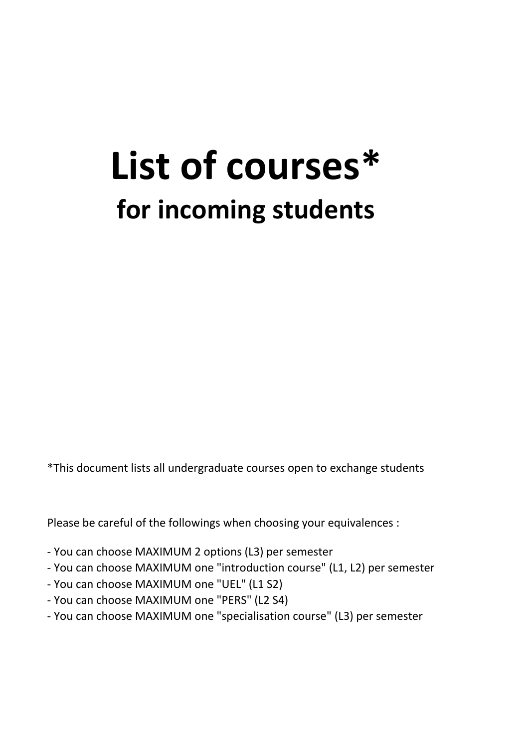# **List of courses\* for incoming students**

\*This document lists all undergraduate courses open to exchange students

Please be careful of the followings when choosing your equivalences :

- You can choose MAXIMUM 2 options (L3) per semester
- You can choose MAXIMUM one "introduction course" (L1, L2) per semester
- You can choose MAXIMUM one "UEL" (L1 S2)
- You can choose MAXIMUM one "PERS" (L2 S4)
- You can choose MAXIMUM one "specialisation course" (L3) per semester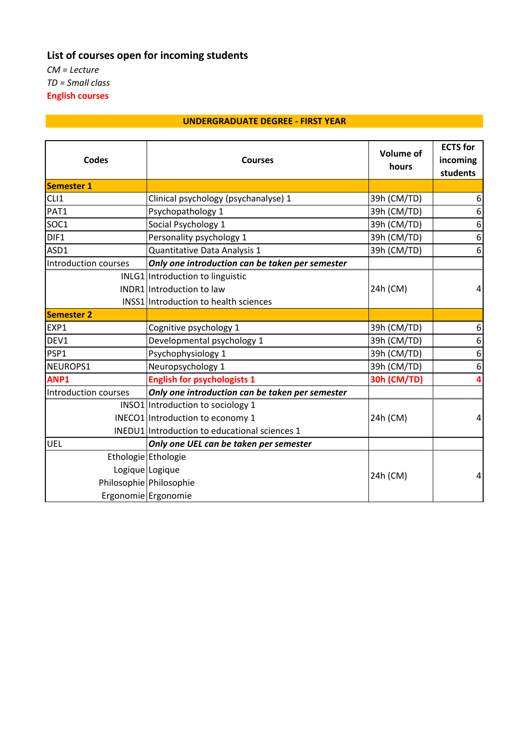## **List of courses open for incoming students**

*CM = Lecture TD = Small class* **English courses**

#### **UNDERGRADUATE DEGREE - FIRST YEAR**

| <b>Codes</b>                | <b>Courses</b>                                  | <b>Volume of</b><br>hours | <b>ECTS</b> for<br>incoming<br>students |
|-----------------------------|-------------------------------------------------|---------------------------|-----------------------------------------|
| <b>Semester 1</b>           |                                                 |                           |                                         |
| CLI1                        | Clinical psychology (psychanalyse) 1            | 39h (CM/TD)               | 6                                       |
| PAT1                        | Psychopathology 1                               | 39h (CM/TD)               | 6                                       |
| SOC1                        | Social Psychology 1                             | 39h (CM/TD)               | 6                                       |
| DIF1                        | Personality psychology 1                        | 39h (CM/TD)               | 6                                       |
| ASD1                        | Quantitative Data Analysis 1                    | 39h (CM/TD)               | 6                                       |
| <b>Introduction courses</b> | Only one introduction can be taken per semester |                           |                                         |
|                             | INLG1 Introduction to linguistic                |                           |                                         |
|                             | INDR1 Introduction to law                       | 24h (CM)                  | $\overline{4}$                          |
|                             | <b>INSS1</b> Introduction to health sciences    |                           |                                         |
| <b>Semester 2</b>           |                                                 |                           |                                         |
| EXP1                        | Cognitive psychology 1                          | 39h (CM/TD)               | 6                                       |
| DEV1                        | Developmental psychology 1                      | 39h (CM/TD)               | 6                                       |
| PSP1                        | Psychophysiology 1                              | 39h (CM/TD)               | 6                                       |
| NEUROPS1                    | Neuropsychology 1                               | 39h (CM/TD)               | 6                                       |
| ANP1                        | <b>English for psychologists 1</b>              | <b>30h (CM/TD)</b>        | 4                                       |
| Introduction courses        | Only one introduction can be taken per semester |                           |                                         |
|                             | INSO1 Introduction to sociology 1               |                           |                                         |
|                             | INECO1 Introduction to economy 1                | 24h (CM)                  | 4                                       |
|                             | INEDU1 Introduction to educational sciences 1   |                           |                                         |
| UEL                         | Only one UEL can be taken per semester          |                           |                                         |
|                             | Ethologie Ethologie                             | 24h (CM)                  | 4                                       |
|                             | Logique Logique                                 |                           |                                         |
|                             | Philosophie Philosophie                         |                           |                                         |
|                             | Ergonomie Ergonomie                             |                           |                                         |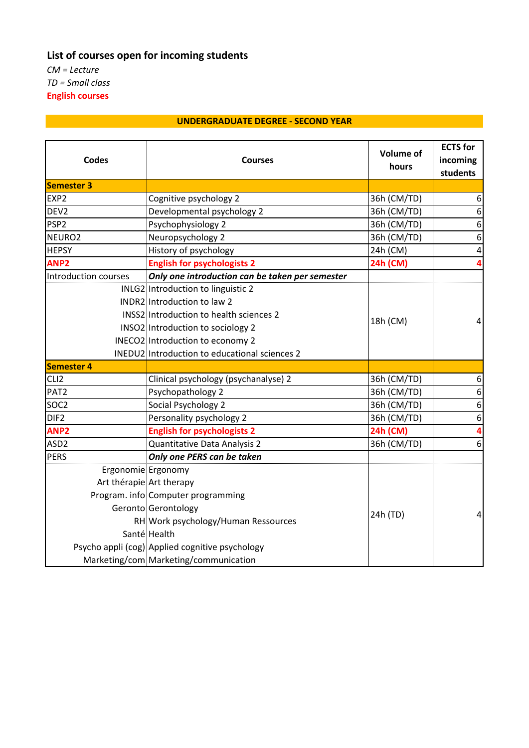## **List of courses open for incoming students**

*CM = Lecture TD = Small class* **English courses**

#### **UNDERGRADUATE DEGREE - SECOND YEAR**

| <b>Codes</b>             | <b>Courses</b>                                  | <b>Volume of</b><br>hours | <b>ECTS</b> for<br>incoming<br>students |
|--------------------------|-------------------------------------------------|---------------------------|-----------------------------------------|
| <b>Semester 3</b>        |                                                 |                           |                                         |
| EXP <sub>2</sub>         | Cognitive psychology 2                          | 36h (CM/TD)               | 6                                       |
| DEV <sub>2</sub>         | Developmental psychology 2                      | 36h (CM/TD)               | 6                                       |
| PSP <sub>2</sub>         | Psychophysiology 2                              | 36h (CM/TD)               | 6                                       |
| NEURO <sub>2</sub>       | Neuropsychology 2                               | 36h (CM/TD)               | $\boldsymbol{6}$                        |
| <b>HEPSY</b>             | History of psychology                           | 24h (CM)                  | $\pmb{4}$                               |
| ANP <sub>2</sub>         | <b>English for psychologists 2</b>              | 24h (CM)                  | 4                                       |
| Introduction courses     | Only one introduction can be taken per semester |                           |                                         |
|                          | INLG2 Introduction to linguistic 2              |                           | 4                                       |
|                          | INDR2 Introduction to law 2                     | 18h (CM)                  |                                         |
|                          | INSS2 Introduction to health sciences 2         |                           |                                         |
|                          | INSO2 Introduction to sociology 2               |                           |                                         |
|                          | INECO2 Introduction to economy 2                |                           |                                         |
|                          | INEDU2 Introduction to educational sciences 2   |                           |                                         |
| <b>Semester 4</b>        |                                                 |                           |                                         |
| CLI <sub>2</sub>         | Clinical psychology (psychanalyse) 2            | 36h (CM/TD)               | 6                                       |
| PAT <sub>2</sub>         | Psychopathology 2                               | 36h (CM/TD)               | $\boldsymbol{6}$                        |
| SOC <sub>2</sub>         | Social Psychology 2                             | 36h (CM/TD)               | 6                                       |
| DIF <sub>2</sub>         | Personality psychology 2                        | 36h (CM/TD)               | $\boldsymbol{6}$                        |
| ANP <sub>2</sub>         | <b>English for psychologists 2</b>              | 24h (CM)                  | 4                                       |
| ASD <sub>2</sub>         | Quantitative Data Analysis 2                    | 36h (CM/TD)               | 6                                       |
| <b>PERS</b>              | Only one PERS can be taken                      |                           |                                         |
| Ergonomie Ergonomy       |                                                 | 24h (TD)                  | $\overline{a}$                          |
| Art thérapie Art therapy |                                                 |                           |                                         |
|                          | Program. info Computer programming              |                           |                                         |
|                          | Geronto Gerontology                             |                           |                                         |
|                          | RH Work psychology/Human Ressources             |                           |                                         |
|                          | Santé Health                                    |                           |                                         |
|                          | Psycho appli (cog) Applied cognitive psychology |                           |                                         |
|                          | Marketing/com Marketing/communication           |                           |                                         |